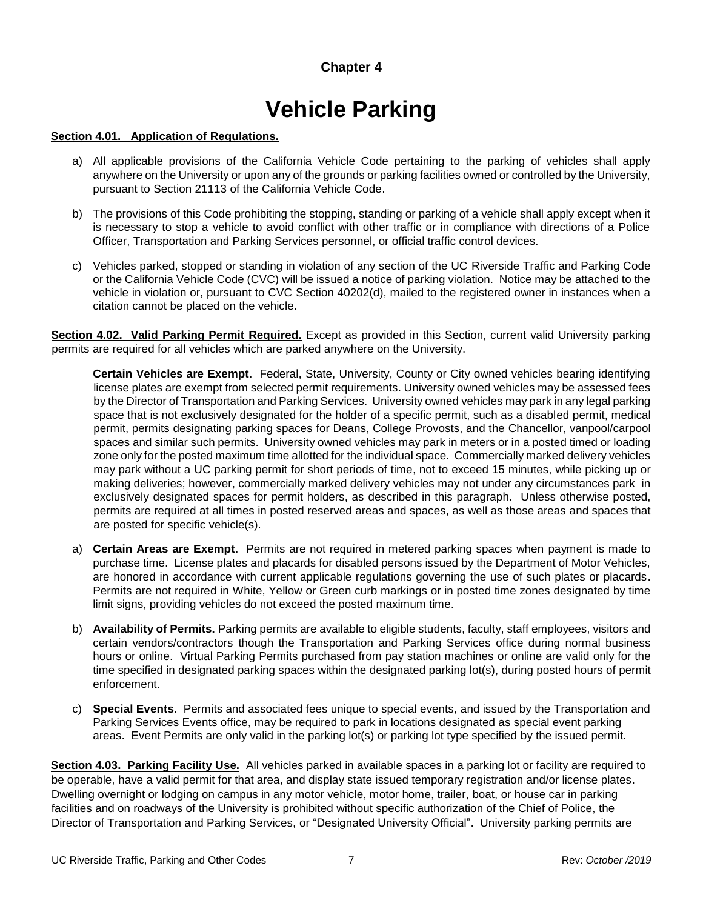# **Chapter 4**

# **Vehicle Parking**

## **Section 4.01. Application of Regulations.**

- a) All applicable provisions of the California Vehicle Code pertaining to the parking of vehicles shall apply anywhere on the University or upon any of the grounds or parking facilities owned or controlled by the University, pursuant to Section 21113 of the California Vehicle Code.
- b) The provisions of this Code prohibiting the stopping, standing or parking of a vehicle shall apply except when it is necessary to stop a vehicle to avoid conflict with other traffic or in compliance with directions of a Police Officer, Transportation and Parking Services personnel, or official traffic control devices.
- c) Vehicles parked, stopped or standing in violation of any section of the UC Riverside Traffic and Parking Code or the California Vehicle Code (CVC) will be issued a notice of parking violation. Notice may be attached to the vehicle in violation or, pursuant to CVC Section 40202(d), mailed to the registered owner in instances when a citation cannot be placed on the vehicle.

**Section 4.02. Valid Parking Permit Required.** Except as provided in this Section, current valid University parking permits are required for all vehicles which are parked anywhere on the University.

**Certain Vehicles are Exempt.** Federal, State, University, County or City owned vehicles bearing identifying license plates are exempt from selected permit requirements. University owned vehicles may be assessed fees by the Director of Transportation and Parking Services. University owned vehicles may park in any legal parking space that is not exclusively designated for the holder of a specific permit, such as a disabled permit, medical permit, permits designating parking spaces for Deans, College Provosts, and the Chancellor, vanpool/carpool spaces and similar such permits. University owned vehicles may park in meters or in a posted timed or loading zone only for the posted maximum time allotted for the individual space. Commercially marked delivery vehicles may park without a UC parking permit for short periods of time, not to exceed 15 minutes, while picking up or making deliveries; however, commercially marked delivery vehicles may not under any circumstances park in exclusively designated spaces for permit holders, as described in this paragraph. Unless otherwise posted, permits are required at all times in posted reserved areas and spaces, as well as those areas and spaces that are posted for specific vehicle(s).

- a) **Certain Areas are Exempt.** Permits are not required in metered parking spaces when payment is made to purchase time. License plates and placards for disabled persons issued by the Department of Motor Vehicles, are honored in accordance with current applicable regulations governing the use of such plates or placards. Permits are not required in White, Yellow or Green curb markings or in posted time zones designated by time limit signs, providing vehicles do not exceed the posted maximum time.
- b) **Availability of Permits.** Parking permits are available to eligible students, faculty, staff employees, visitors and certain vendors/contractors though the Transportation and Parking Services office during normal business hours or online. Virtual Parking Permits purchased from pay station machines or online are valid only for the time specified in designated parking spaces within the designated parking lot(s), during posted hours of permit enforcement.
- c) **Special Events.** Permits and associated fees unique to special events, and issued by the Transportation and Parking Services Events office, may be required to park in locations designated as special event parking areas. Event Permits are only valid in the parking lot(s) or parking lot type specified by the issued permit.

**Section 4.03. Parking Facility Use.** All vehicles parked in available spaces in a parking lot or facility are required to be operable, have a valid permit for that area, and display state issued temporary registration and/or license plates. Dwelling overnight or lodging on campus in any motor vehicle, motor home, trailer, boat, or house car in parking facilities and on roadways of the University is prohibited without specific authorization of the Chief of Police, the Director of Transportation and Parking Services, or "Designated University Official". University parking permits are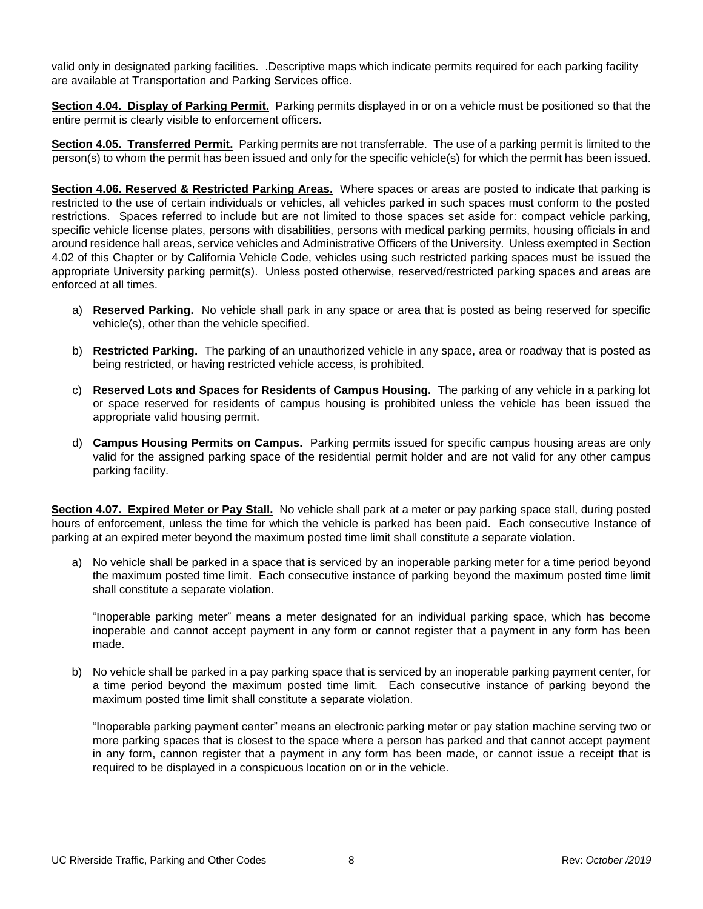valid only in designated parking facilities. .Descriptive maps which indicate permits required for each parking facility are available at Transportation and Parking Services office.

**Section 4.04. Display of Parking Permit.** Parking permits displayed in or on a vehicle must be positioned so that the entire permit is clearly visible to enforcement officers.

**Section 4.05. Transferred Permit.** Parking permits are not transferrable. The use of a parking permit is limited to the person(s) to whom the permit has been issued and only for the specific vehicle(s) for which the permit has been issued.

**Section 4.06. Reserved & Restricted Parking Areas.** Where spaces or areas are posted to indicate that parking is restricted to the use of certain individuals or vehicles, all vehicles parked in such spaces must conform to the posted restrictions. Spaces referred to include but are not limited to those spaces set aside for: compact vehicle parking, specific vehicle license plates, persons with disabilities, persons with medical parking permits, housing officials in and around residence hall areas, service vehicles and Administrative Officers of the University. Unless exempted in Section 4.02 of this Chapter or by California Vehicle Code, vehicles using such restricted parking spaces must be issued the appropriate University parking permit(s). Unless posted otherwise, reserved/restricted parking spaces and areas are enforced at all times.

- a) **Reserved Parking.** No vehicle shall park in any space or area that is posted as being reserved for specific vehicle(s), other than the vehicle specified.
- b) **Restricted Parking.** The parking of an unauthorized vehicle in any space, area or roadway that is posted as being restricted, or having restricted vehicle access, is prohibited.
- c) **Reserved Lots and Spaces for Residents of Campus Housing.** The parking of any vehicle in a parking lot or space reserved for residents of campus housing is prohibited unless the vehicle has been issued the appropriate valid housing permit.
- d) **Campus Housing Permits on Campus.** Parking permits issued for specific campus housing areas are only valid for the assigned parking space of the residential permit holder and are not valid for any other campus parking facility.

**Section 4.07. Expired Meter or Pay Stall.** No vehicle shall park at a meter or pay parking space stall, during posted hours of enforcement, unless the time for which the vehicle is parked has been paid. Each consecutive Instance of parking at an expired meter beyond the maximum posted time limit shall constitute a separate violation.

a) No vehicle shall be parked in a space that is serviced by an inoperable parking meter for a time period beyond the maximum posted time limit. Each consecutive instance of parking beyond the maximum posted time limit shall constitute a separate violation.

"Inoperable parking meter" means a meter designated for an individual parking space, which has become inoperable and cannot accept payment in any form or cannot register that a payment in any form has been made.

b) No vehicle shall be parked in a pay parking space that is serviced by an inoperable parking payment center, for a time period beyond the maximum posted time limit. Each consecutive instance of parking beyond the maximum posted time limit shall constitute a separate violation.

"Inoperable parking payment center" means an electronic parking meter or pay station machine serving two or more parking spaces that is closest to the space where a person has parked and that cannot accept payment in any form, cannon register that a payment in any form has been made, or cannot issue a receipt that is required to be displayed in a conspicuous location on or in the vehicle.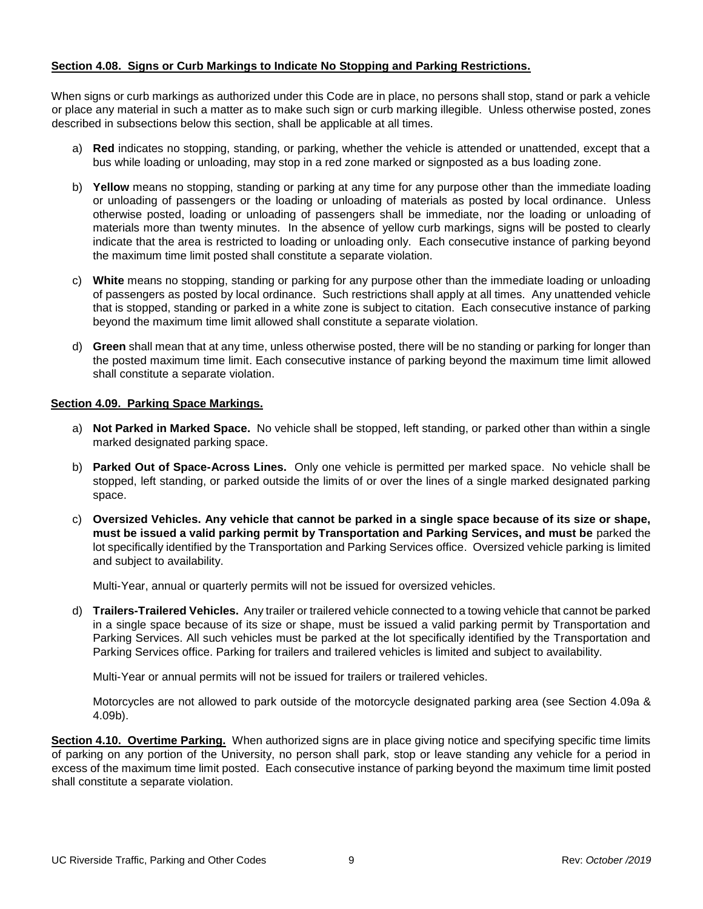## **Section 4.08. Signs or Curb Markings to Indicate No Stopping and Parking Restrictions.**

When signs or curb markings as authorized under this Code are in place, no persons shall stop, stand or park a vehicle or place any material in such a matter as to make such sign or curb marking illegible. Unless otherwise posted, zones described in subsections below this section, shall be applicable at all times.

- a) **Red** indicates no stopping, standing, or parking, whether the vehicle is attended or unattended, except that a bus while loading or unloading, may stop in a red zone marked or signposted as a bus loading zone.
- b) **Yellow** means no stopping, standing or parking at any time for any purpose other than the immediate loading or unloading of passengers or the loading or unloading of materials as posted by local ordinance. Unless otherwise posted, loading or unloading of passengers shall be immediate, nor the loading or unloading of materials more than twenty minutes. In the absence of yellow curb markings, signs will be posted to clearly indicate that the area is restricted to loading or unloading only. Each consecutive instance of parking beyond the maximum time limit posted shall constitute a separate violation.
- c) **White** means no stopping, standing or parking for any purpose other than the immediate loading or unloading of passengers as posted by local ordinance. Such restrictions shall apply at all times. Any unattended vehicle that is stopped, standing or parked in a white zone is subject to citation. Each consecutive instance of parking beyond the maximum time limit allowed shall constitute a separate violation.
- d) **Green** shall mean that at any time, unless otherwise posted, there will be no standing or parking for longer than the posted maximum time limit. Each consecutive instance of parking beyond the maximum time limit allowed shall constitute a separate violation.

#### **Section 4.09. Parking Space Markings.**

- a) **Not Parked in Marked Space.** No vehicle shall be stopped, left standing, or parked other than within a single marked designated parking space.
- b) **Parked Out of Space-Across Lines.** Only one vehicle is permitted per marked space. No vehicle shall be stopped, left standing, or parked outside the limits of or over the lines of a single marked designated parking space.
- c) **Oversized Vehicles. Any vehicle that cannot be parked in a single space because of its size or shape, must be issued a valid parking permit by Transportation and Parking Services, and must be** parked the lot specifically identified by the Transportation and Parking Services office. Oversized vehicle parking is limited and subject to availability.

Multi-Year, annual or quarterly permits will not be issued for oversized vehicles.

d) **Trailers-Trailered Vehicles.** Any trailer or trailered vehicle connected to a towing vehicle that cannot be parked in a single space because of its size or shape, must be issued a valid parking permit by Transportation and Parking Services. All such vehicles must be parked at the lot specifically identified by the Transportation and Parking Services office. Parking for trailers and trailered vehicles is limited and subject to availability.

Multi-Year or annual permits will not be issued for trailers or trailered vehicles.

Motorcycles are not allowed to park outside of the motorcycle designated parking area (see Section 4.09a & 4.09b).

**Section 4.10. Overtime Parking.** When authorized signs are in place giving notice and specifying specific time limits of parking on any portion of the University, no person shall park, stop or leave standing any vehicle for a period in excess of the maximum time limit posted. Each consecutive instance of parking beyond the maximum time limit posted shall constitute a separate violation.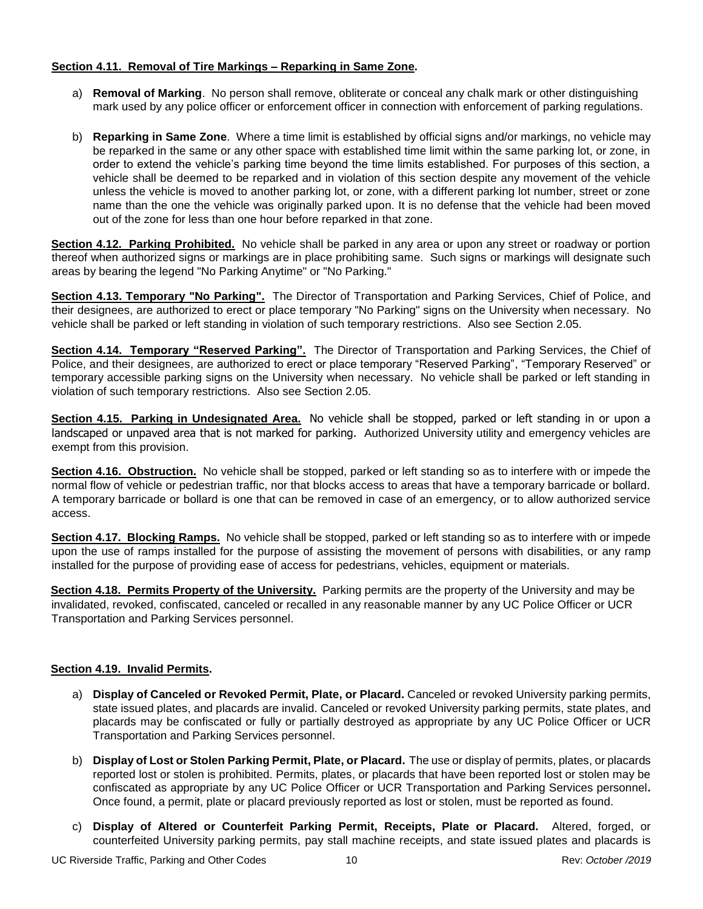# **Section 4.11. Removal of Tire Markings – Reparking in Same Zone.**

- a) **Removal of Marking**. No person shall remove, obliterate or conceal any chalk mark or other distinguishing mark used by any police officer or enforcement officer in connection with enforcement of parking regulations.
- b) **Reparking in Same Zone**. Where a time limit is established by official signs and/or markings, no vehicle may be reparked in the same or any other space with established time limit within the same parking lot, or zone, in order to extend the vehicle's parking time beyond the time limits established. For purposes of this section, a vehicle shall be deemed to be reparked and in violation of this section despite any movement of the vehicle unless the vehicle is moved to another parking lot, or zone, with a different parking lot number, street or zone name than the one the vehicle was originally parked upon. It is no defense that the vehicle had been moved out of the zone for less than one hour before reparked in that zone.

**Section 4.12. Parking Prohibited.** No vehicle shall be parked in any area or upon any street or roadway or portion thereof when authorized signs or markings are in place prohibiting same. Such signs or markings will designate such areas by bearing the legend "No Parking Anytime" or "No Parking."

**Section 4.13. Temporary "No Parking".** The Director of Transportation and Parking Services, Chief of Police, and their designees, are authorized to erect or place temporary "No Parking" signs on the University when necessary. No vehicle shall be parked or left standing in violation of such temporary restrictions. Also see Section 2.05.

**Section 4.14. Temporary "Reserved Parking".** The Director of Transportation and Parking Services, the Chief of Police, and their designees, are authorized to erect or place temporary "Reserved Parking", "Temporary Reserved" or temporary accessible parking signs on the University when necessary. No vehicle shall be parked or left standing in violation of such temporary restrictions. Also see Section 2.05.

**Section 4.15. Parking in Undesignated Area.** No vehicle shall be stopped, parked or left standing in or upon a landscaped or unpaved area that is not marked for parking. Authorized University utility and emergency vehicles are exempt from this provision.

**Section 4.16. Obstruction.** No vehicle shall be stopped, parked or left standing so as to interfere with or impede the normal flow of vehicle or pedestrian traffic, nor that blocks access to areas that have a temporary barricade or bollard. A temporary barricade or bollard is one that can be removed in case of an emergency, or to allow authorized service access.

**Section 4.17. Blocking Ramps.** No vehicle shall be stopped, parked or left standing so as to interfere with or impede upon the use of ramps installed for the purpose of assisting the movement of persons with disabilities, or any ramp installed for the purpose of providing ease of access for pedestrians, vehicles, equipment or materials.

**Section 4.18. Permits Property of the University.** Parking permits are the property of the University and may be invalidated, revoked, confiscated, canceled or recalled in any reasonable manner by any UC Police Officer or UCR Transportation and Parking Services personnel.

# **Section 4.19. Invalid Permits.**

- a) **Display of Canceled or Revoked Permit, Plate, or Placard.** Canceled or revoked University parking permits, state issued plates, and placards are invalid. Canceled or revoked University parking permits, state plates, and placards may be confiscated or fully or partially destroyed as appropriate by any UC Police Officer or UCR Transportation and Parking Services personnel.
- b) **Display of Lost or Stolen Parking Permit, Plate, or Placard.** The use or display of permits, plates, or placards reported lost or stolen is prohibited. Permits, plates, or placards that have been reported lost or stolen may be confiscated as appropriate by any UC Police Officer or UCR Transportation and Parking Services personnel**.**  Once found, a permit, plate or placard previously reported as lost or stolen, must be reported as found.
- c) **Display of Altered or Counterfeit Parking Permit, Receipts, Plate or Placard.** Altered, forged, or counterfeited University parking permits, pay stall machine receipts, and state issued plates and placards is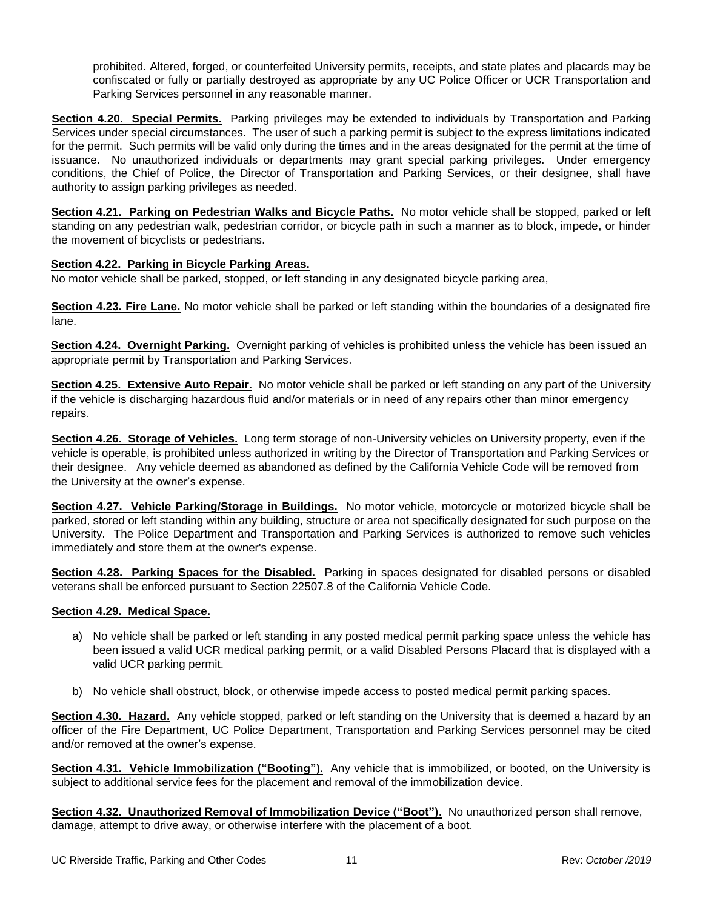prohibited. Altered, forged, or counterfeited University permits, receipts, and state plates and placards may be confiscated or fully or partially destroyed as appropriate by any UC Police Officer or UCR Transportation and Parking Services personnel in any reasonable manner.

**Section 4.20. Special Permits.** Parking privileges may be extended to individuals by Transportation and Parking Services under special circumstances. The user of such a parking permit is subject to the express limitations indicated for the permit. Such permits will be valid only during the times and in the areas designated for the permit at the time of issuance. No unauthorized individuals or departments may grant special parking privileges. Under emergency conditions, the Chief of Police, the Director of Transportation and Parking Services, or their designee, shall have authority to assign parking privileges as needed.

**Section 4.21. Parking on Pedestrian Walks and Bicycle Paths.** No motor vehicle shall be stopped, parked or left standing on any pedestrian walk, pedestrian corridor, or bicycle path in such a manner as to block, impede, or hinder the movement of bicyclists or pedestrians.

# **Section 4.22. Parking in Bicycle Parking Areas.**

No motor vehicle shall be parked, stopped, or left standing in any designated bicycle parking area,

**Section 4.23. Fire Lane.** No motor vehicle shall be parked or left standing within the boundaries of a designated fire lane.

**Section 4.24. Overnight Parking.** Overnight parking of vehicles is prohibited unless the vehicle has been issued an appropriate permit by Transportation and Parking Services.

**Section 4.25. Extensive Auto Repair.** No motor vehicle shall be parked or left standing on any part of the University if the vehicle is discharging hazardous fluid and/or materials or in need of any repairs other than minor emergency repairs.

**Section 4.26. Storage of Vehicles.** Long term storage of non-University vehicles on University property, even if the vehicle is operable, is prohibited unless authorized in writing by the Director of Transportation and Parking Services or their designee. Any vehicle deemed as abandoned as defined by the California Vehicle Code will be removed from the University at the owner's expense.

**Section 4.27. Vehicle Parking/Storage in Buildings.** No motor vehicle, motorcycle or motorized bicycle shall be parked, stored or left standing within any building, structure or area not specifically designated for such purpose on the University. The Police Department and Transportation and Parking Services is authorized to remove such vehicles immediately and store them at the owner's expense.

**Section 4.28. Parking Spaces for the Disabled.** Parking in spaces designated for disabled persons or disabled veterans shall be enforced pursuant to Section 22507.8 of the California Vehicle Code.

#### **Section 4.29. Medical Space.**

- a) No vehicle shall be parked or left standing in any posted medical permit parking space unless the vehicle has been issued a valid UCR medical parking permit, or a valid Disabled Persons Placard that is displayed with a valid UCR parking permit.
- b) No vehicle shall obstruct, block, or otherwise impede access to posted medical permit parking spaces.

**Section 4.30. Hazard.** Any vehicle stopped, parked or left standing on the University that is deemed a hazard by an officer of the Fire Department, UC Police Department, Transportation and Parking Services personnel may be cited and/or removed at the owner's expense.

**Section 4.31. Vehicle Immobilization ("Booting").** Any vehicle that is immobilized, or booted, on the University is subject to additional service fees for the placement and removal of the immobilization device.

**Section 4.32. Unauthorized Removal of Immobilization Device ("Boot").** No unauthorized person shall remove, damage, attempt to drive away, or otherwise interfere with the placement of a boot.